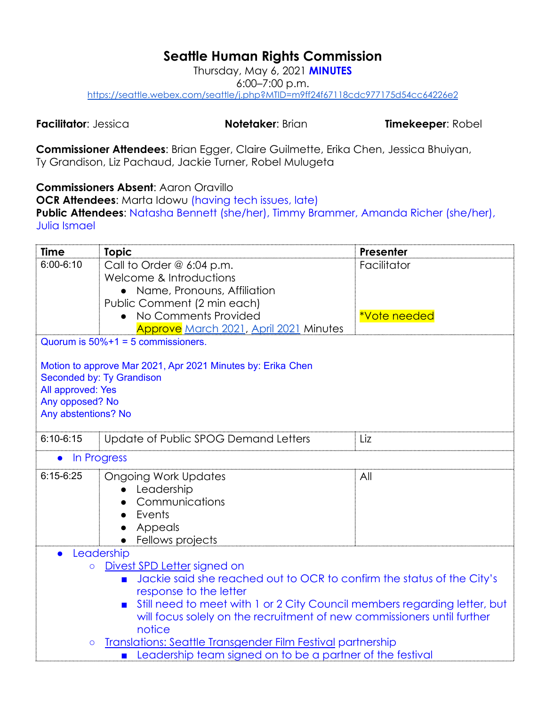## **Seattle Human Rights Commission**

Thursday, May 6, 2021 **MINUTES** 6:00–7:00 p.m. <https://seattle.webex.com/seattle/j.php?MTID=m9ff24f67118cdc977175d54cc64226e2>

**Facilitator**: Jessica **Notetaker**: Brian **Timekeeper**: Robel

**Commissioner Attendees**: Brian Egger, Claire Guilmette, Erika Chen, Jessica Bhuiyan, Ty Grandison, Liz Pachaud, Jackie Turner, Robel Mulugeta

**Commissioners Absent**: Aaron Oravillo

**OCR Attendees:** Marta Idowu (having tech issues, late) **Public Attendees**: Natasha Bennett (she/her), Timmy Brammer, Amanda Richer (she/her), Julia Ismael

| <b>Time</b>                                                                                                                                | <b>Topic</b>                                                            | <b>Presenter</b> |  |  |  |
|--------------------------------------------------------------------------------------------------------------------------------------------|-------------------------------------------------------------------------|------------------|--|--|--|
| $6:00 - 6:10$                                                                                                                              | Call to Order $@ 6:04 p.m.$                                             | Facilitator      |  |  |  |
|                                                                                                                                            | Welcome & Introductions                                                 |                  |  |  |  |
|                                                                                                                                            | • Name, Pronouns, Affiliation                                           |                  |  |  |  |
|                                                                                                                                            | Public Comment (2 min each)                                             |                  |  |  |  |
|                                                                                                                                            | No Comments Provided                                                    | *Vote needed     |  |  |  |
|                                                                                                                                            | Approve March 2021, April 2021 Minutes                                  |                  |  |  |  |
|                                                                                                                                            | Quorum is $50\% + 1 = 5$ commissioners.                                 |                  |  |  |  |
|                                                                                                                                            | Motion to approve Mar 2021, Apr 2021 Minutes by: Erika Chen             |                  |  |  |  |
|                                                                                                                                            | Seconded by: Ty Grandison                                               |                  |  |  |  |
| All approved: Yes                                                                                                                          |                                                                         |                  |  |  |  |
| Any opposed? No                                                                                                                            |                                                                         |                  |  |  |  |
| Any abstentions? No                                                                                                                        |                                                                         |                  |  |  |  |
|                                                                                                                                            |                                                                         |                  |  |  |  |
| $6:10 - 6:15$                                                                                                                              | Update of Public SPOG Demand Letters                                    | Liz              |  |  |  |
| In Progress                                                                                                                                |                                                                         |                  |  |  |  |
| $6:15-6:25$                                                                                                                                | <b>Ongoing Work Updates</b>                                             | All              |  |  |  |
|                                                                                                                                            | Leadership                                                              |                  |  |  |  |
|                                                                                                                                            | Communications                                                          |                  |  |  |  |
|                                                                                                                                            | Events                                                                  |                  |  |  |  |
|                                                                                                                                            | Appeals                                                                 |                  |  |  |  |
|                                                                                                                                            | Fellows projects                                                        |                  |  |  |  |
|                                                                                                                                            | Leadership                                                              |                  |  |  |  |
| Divest SPD Letter signed on<br>$\circ$                                                                                                     |                                                                         |                  |  |  |  |
| Jackie said she reached out to OCR to confirm the status of the City's<br>$\blacksquare$                                                   |                                                                         |                  |  |  |  |
| response to the letter                                                                                                                     |                                                                         |                  |  |  |  |
| Still need to meet with 1 or 2 City Council members regarding letter, but                                                                  |                                                                         |                  |  |  |  |
|                                                                                                                                            | will focus solely on the recruitment of new commissioners until further |                  |  |  |  |
|                                                                                                                                            | notice                                                                  |                  |  |  |  |
| <b>Translations: Seattle Transgender Film Festival partnership</b><br>$\circ$<br>Leadership team signed on to be a partner of the festival |                                                                         |                  |  |  |  |
|                                                                                                                                            |                                                                         |                  |  |  |  |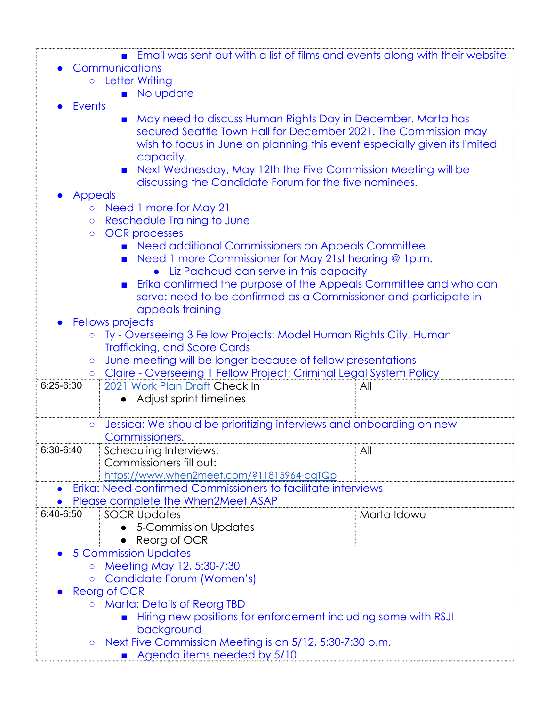|                                                                                                                                                                                                                                   |  | <b>Email was sent out with a list of films and events along with their website</b> |  |
|-----------------------------------------------------------------------------------------------------------------------------------------------------------------------------------------------------------------------------------|--|------------------------------------------------------------------------------------|--|
| Communications                                                                                                                                                                                                                    |  |                                                                                    |  |
| $\mathbf{r}$ , and the second second the second second second to the second second second to the second second second second second second second second second second second second second second second second second second se |  |                                                                                    |  |

- Letter Writing
	- No update
- **Events**
- May need to discuss Human Rights Day in December. Marta has secured Seattle Town Hall for December 2021. The Commission may wish to focus in June on planning this event especially given its limited capacity.
- Next Wednesday, May 12th the Five Commission Meeting will be discussing the Candidate Forum for the five nominees.
- **Appeals** 
	- Need 1 more for May 21
	- Reschedule Training to June
	- OCR processes
		- Need additional Commissioners on Appeals Committee
		- Need 1 more Commissioner for May 21st hearing @ 1p.m.
			- Liz Pachaud can serve in this capacity
		- Erika confirmed the purpose of the Appeals Committee and who can serve: need to be confirmed as a Commissioner and participate in appeals training
- **Fellows projects** 
	- Ty Overseeing 3 Fellow Projects: Model Human Rights City, Human Trafficking, and Score Cards
	- June meeting will be longer because of fellow presentations

| o Claire - Overseeing 1 Fellow Project: Criminal Legal System Policy           |                                                              |             |  |  |
|--------------------------------------------------------------------------------|--------------------------------------------------------------|-------------|--|--|
| $6:25-6:30$                                                                    | 2021 Work Plan Draft Check In                                | All         |  |  |
|                                                                                | • Adjust sprint timelines                                    |             |  |  |
|                                                                                |                                                              |             |  |  |
| Jessica: We should be prioritizing interviews and onboarding on new<br>$\circ$ |                                                              |             |  |  |
|                                                                                | Commissioners.                                               |             |  |  |
| 6:30-6:40                                                                      | Scheduling Interviews.                                       | Αll         |  |  |
|                                                                                | Commissioners fill out:                                      |             |  |  |
|                                                                                | https://www.when2meet.com/?11815964-cqTQp                    |             |  |  |
|                                                                                | Erika: Need confirmed Commissioners to facilitate interviews |             |  |  |
|                                                                                | Please complete the When2Meet ASAP                           |             |  |  |
| 6:40-6:50                                                                      | SOCR Updates                                                 | Marta Idowu |  |  |
|                                                                                | • 5-Commission Updates                                       |             |  |  |
|                                                                                | • Reorg of OCR                                               |             |  |  |
| $\bullet$                                                                      | <b>5-Commission Updates</b>                                  |             |  |  |
|                                                                                | ○ Meeting May 12, 5:30-7:30                                  |             |  |  |
| ○ Candidate Forum (Women's)                                                    |                                                              |             |  |  |
| Reorg of OCR                                                                   |                                                              |             |  |  |
| o Marta: Details of Reorg TBD                                                  |                                                              |             |  |  |
| Hiring new positions for enforcement including some with RSJI                  |                                                              |             |  |  |
| background                                                                     |                                                              |             |  |  |
| ○ Next Five Commission Meeting is on 5/12, 5:30-7:30 p.m.                      |                                                              |             |  |  |
| Agenda items needed by 5/10                                                    |                                                              |             |  |  |